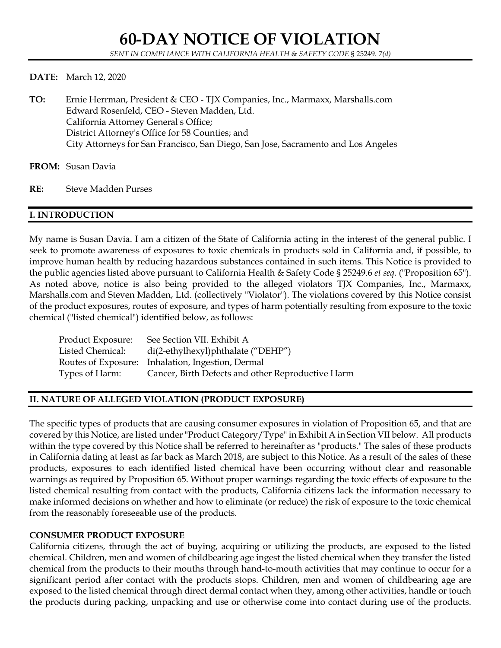#### **DATE:** March 12, 2020

- **TO:** Ernie Herrman, President & CEO TJX Companies, Inc., Marmaxx, Marshalls.com Edward Rosenfeld, CEO - Steven Madden, Ltd. California Attorney General's Office; District Attorney's Office for 58 Counties; and City Attorneys for San Francisco, San Diego, San Jose, Sacramento and Los Angeles
- **FROM:** Susan Davia
- **RE:** Steve Madden Purses

## **I. INTRODUCTION**

My name is Susan Davia. I am a citizen of the State of California acting in the interest of the general public. I seek to promote awareness of exposures to toxic chemicals in products sold in California and, if possible, to improve human health by reducing hazardous substances contained in such items. This Notice is provided to the public agencies listed above pursuant to California Health & Safety Code § 25249.6 *et seq.* ("Proposition 65"). As noted above, notice is also being provided to the alleged violators TJX Companies, Inc., Marmaxx, Marshalls.com and Steven Madden, Ltd. (collectively "Violator"). The violations covered by this Notice consist of the product exposures, routes of exposure, and types of harm potentially resulting from exposure to the toxic chemical ("listed chemical") identified below, as follows:

| Product Exposure: | See Section VII. Exhibit A                        |
|-------------------|---------------------------------------------------|
| Listed Chemical:  | $di(2-ethylhexyl)$ phthalate ("DEHP")             |
|                   | Routes of Exposure: Inhalation, Ingestion, Dermal |
| Types of Harm:    | Cancer, Birth Defects and other Reproductive Harm |

## **II. NATURE OF ALLEGED VIOLATION (PRODUCT EXPOSURE)**

The specific types of products that are causing consumer exposures in violation of Proposition 65, and that are covered by this Notice, are listed under "Product Category/Type" in Exhibit A in Section VII below. All products within the type covered by this Notice shall be referred to hereinafter as "products." The sales of these products in California dating at least as far back as March 2018, are subject to this Notice. As a result of the sales of these products, exposures to each identified listed chemical have been occurring without clear and reasonable warnings as required by Proposition 65. Without proper warnings regarding the toxic effects of exposure to the listed chemical resulting from contact with the products, California citizens lack the information necessary to make informed decisions on whether and how to eliminate (or reduce) the risk of exposure to the toxic chemical from the reasonably foreseeable use of the products.

## **CONSUMER PRODUCT EXPOSURE**

California citizens, through the act of buying, acquiring or utilizing the products, are exposed to the listed chemical. Children, men and women of childbearing age ingest the listed chemical when they transfer the listed chemical from the products to their mouths through hand-to-mouth activities that may continue to occur for a significant period after contact with the products stops. Children, men and women of childbearing age are exposed to the listed chemical through direct dermal contact when they, among other activities, handle or touch the products during packing, unpacking and use or otherwise come into contact during use of the products.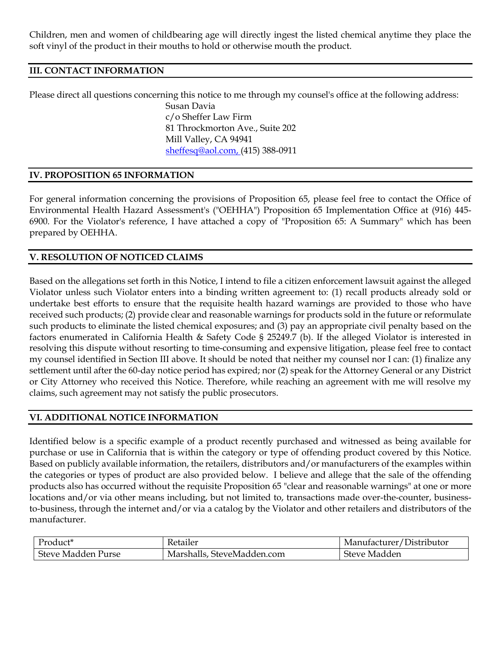Children, men and women of childbearing age will directly ingest the listed chemical anytime they place the soft vinyl of the product in their mouths to hold or otherwise mouth the product.

## **III. CONTACT INFORMATION**

Please direct all questions concerning this notice to me through my counsel's office at the following address: Susan Davia c/o Sheffer Law Firm 81 Throckmorton Ave., Suite 202 Mill Valley, CA 94941 [sheffesq@aol.com,](mailto:sheffesq@aol.com) (415) 388-0911

## **IV. PROPOSITION 65 INFORMATION**

For general information concerning the provisions of Proposition 65, please feel free to contact the Office of Environmental Health Hazard Assessment's ("OEHHA") Proposition 65 Implementation Office at (916) 445- 6900. For the Violator's reference, I have attached a copy of "Proposition 65: A Summary" which has been prepared by OEHHA.

## **V. RESOLUTION OF NOTICED CLAIMS**

Based on the allegations set forth in this Notice, I intend to file a citizen enforcement lawsuit against the alleged Violator unless such Violator enters into a binding written agreement to: (1) recall products already sold or undertake best efforts to ensure that the requisite health hazard warnings are provided to those who have received such products; (2) provide clear and reasonable warnings for products sold in the future or reformulate such products to eliminate the listed chemical exposures; and (3) pay an appropriate civil penalty based on the factors enumerated in California Health & Safety Code § 25249.7 (b). If the alleged Violator is interested in resolving this dispute without resorting to time-consuming and expensive litigation, please feel free to contact my counsel identified in Section III above. It should be noted that neither my counsel nor I can: (1) finalize any settlement until after the 60-day notice period has expired; nor (2) speak for the Attorney General or any District or City Attorney who received this Notice. Therefore, while reaching an agreement with me will resolve my claims, such agreement may not satisfy the public prosecutors.

## **VI. ADDITIONAL NOTICE INFORMATION**

Identified below is a specific example of a product recently purchased and witnessed as being available for purchase or use in California that is within the category or type of offending product covered by this Notice. Based on publicly available information, the retailers, distributors and/or manufacturers of the examples within the categories or types of product are also provided below. I believe and allege that the sale of the offending products also has occurred without the requisite Proposition 65 "clear and reasonable warnings" at one or more locations and/or via other means including, but not limited to, transactions made over-the-counter, businessto-business, through the internet and/or via a catalog by the Violator and other retailers and distributors of the manufacturer.

| Product <sup>*</sup> | Ketailer                   | Manufacturer/Distributor |
|----------------------|----------------------------|--------------------------|
| Steve Madden Purse   | Marshalls, SteveMadden.com | Steve Madden             |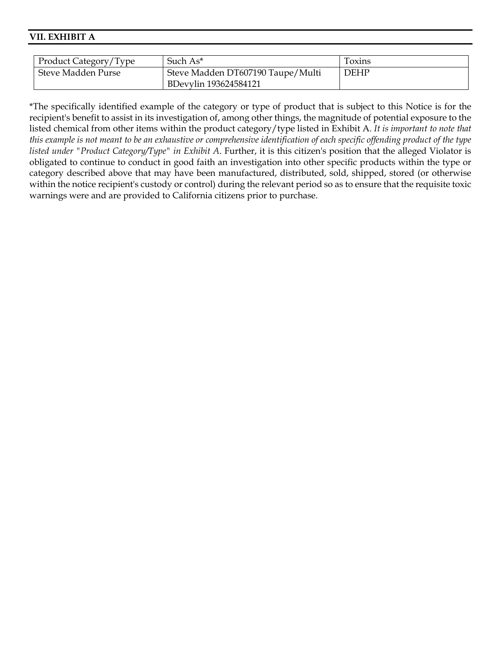#### **VII. EXHIBIT A**

| Product Category/Type | Such $As^*$                       | Toxins      |
|-----------------------|-----------------------------------|-------------|
| Steve Madden Purse    | Steve Madden DT607190 Taupe/Multi | <b>DEHP</b> |
|                       | BDevylin 193624584121             |             |

\*The specifically identified example of the category or type of product that is subject to this Notice is for the recipient's benefit to assist in its investigation of, among other things, the magnitude of potential exposure to the listed chemical from other items within the product category/type listed in Exhibit A. *It is important to note that this example is not meant to be an exhaustive or comprehensive identification of each specific offending product of the type listed under "Product Category/Type" in Exhibit A*. Further, it is this citizen's position that the alleged Violator is obligated to continue to conduct in good faith an investigation into other specific products within the type or category described above that may have been manufactured, distributed, sold, shipped, stored (or otherwise within the notice recipient's custody or control) during the relevant period so as to ensure that the requisite toxic warnings were and are provided to California citizens prior to purchase.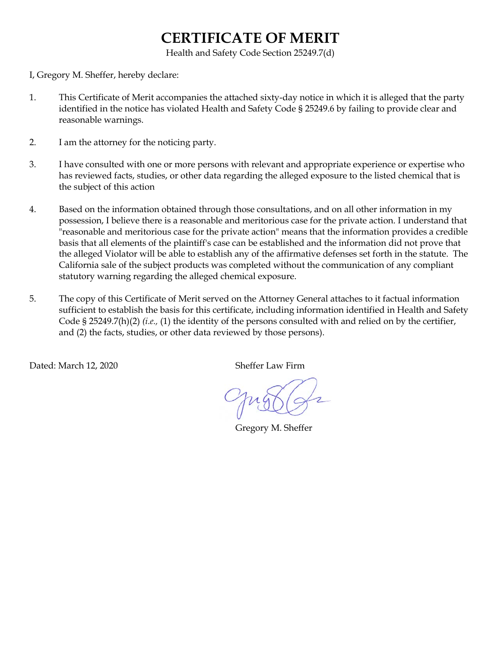# **CERTIFICATE OF MERIT**

Health and Safety Code Section 25249.7(d)

I, Gregory M. Sheffer, hereby declare:

- 1. This Certificate of Merit accompanies the attached sixty-day notice in which it is alleged that the party identified in the notice has violated Health and Safety Code § 25249.6 by failing to provide clear and reasonable warnings.
- 2. I am the attorney for the noticing party.
- 3. I have consulted with one or more persons with relevant and appropriate experience or expertise who has reviewed facts, studies, or other data regarding the alleged exposure to the listed chemical that is the subject of this action
- 4. Based on the information obtained through those consultations, and on all other information in my possession, I believe there is a reasonable and meritorious case for the private action. I understand that "reasonable and meritorious case for the private action" means that the information provides a credible basis that all elements of the plaintiff's case can be established and the information did not prove that the alleged Violator will be able to establish any of the affirmative defenses set forth in the statute. The California sale of the subject products was completed without the communication of any compliant statutory warning regarding the alleged chemical exposure.
- 5. The copy of this Certificate of Merit served on the Attorney General attaches to it factual information sufficient to establish the basis for this certificate, including information identified in Health and Safety Code § 25249.7(h)(2) *(i.e.,* (1) the identity of the persons consulted with and relied on by the certifier, and (2) the facts, studies, or other data reviewed by those persons).

Dated: March 12, 2020 Sheffer Law Firm

Gregory M. Sheffer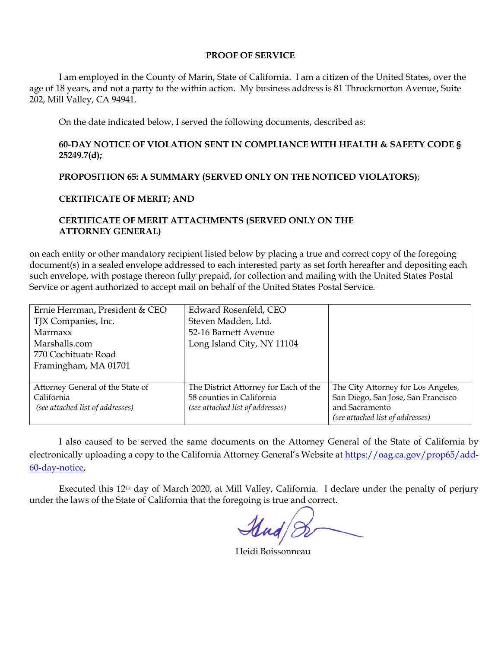#### **PROOF OF SERVICE**

I am employed in the County of Marin, State of California. I am a citizen of the United States, over the age of 18 years, and not a party to the within action. My business address is 81 Throckmorton Avenue, Suite 202, Mill Valley, CA 94941.

On the date indicated below, I served the following documents, described as:

## **60-DAY NOTICE OF VIOLATION SENT IN COMPLIANCE WITH HEALTH & SAFETY CODE § 25249.7(d);**

## **PROPOSITION 65: A SUMMARY (SERVED ONLY ON THE NOTICED VIOLATORS)**;

## **CERTIFICATE OF MERIT; AND**

## **CERTIFICATE OF MERIT ATTACHMENTS (SERVED ONLY ON THE ATTORNEY GENERAL)**

on each entity or other mandatory recipient listed below by placing a true and correct copy of the foregoing document(s) in a sealed envelope addressed to each interested party as set forth hereafter and depositing each such envelope, with postage thereon fully prepaid, for collection and mailing with the United States Postal Service or agent authorized to accept mail on behalf of the United States Postal Service.

| Ernie Herrman, President & CEO   | Edward Rosenfeld, CEO                 |                                    |
|----------------------------------|---------------------------------------|------------------------------------|
| TJX Companies, Inc.              | Steven Madden, Ltd.                   |                                    |
| Marmaxx                          | 52-16 Barnett Avenue                  |                                    |
| Marshalls.com                    | Long Island City, NY 11104            |                                    |
| 770 Cochituate Road              |                                       |                                    |
| Framingham, MA 01701             |                                       |                                    |
|                                  |                                       |                                    |
| Attorney General of the State of | The District Attorney for Each of the | The City Attorney for Los Angeles, |
| California                       | 58 counties in California             | San Diego, San Jose, San Francisco |
| (see attached list of addresses) | (see attached list of addresses)      | and Sacramento                     |
|                                  |                                       | (see attached list of addresses)   |

I also caused to be served the same documents on the Attorney General of the State of California by electronically uploading a copy to the California Attorney General's Website a[t https://oag.ca.gov/prop65/add-](https://oag.ca.gov/prop65/add-60-day-notice)[60-day-notice,](https://oag.ca.gov/prop65/add-60-day-notice)

Executed this 12th day of March 2020, at Mill Valley, California. I declare under the penalty of perjury under the laws of the State of California that the foregoing is true and correct.

Heidi Boissonneau